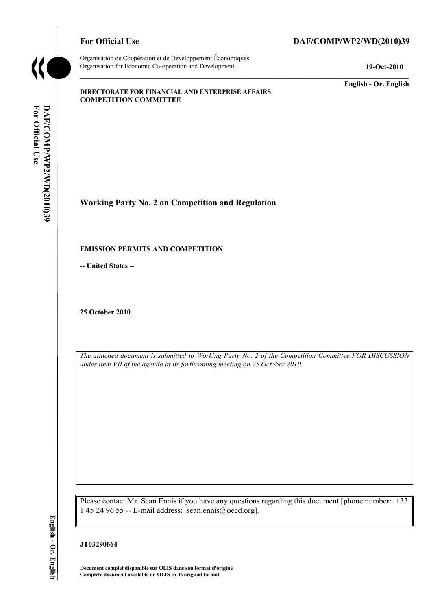

Organisation de Coopération et de Développement Économiques Organisation for Economic Co-operation and Development **19-Oct-2010** 

# For Official Use DAF/COMP/WP2/WD(2010)39

**English - Or. English** 

#### **DIRECTORATE FOR FINANCIAL AND ENTERPRISE AFFAIRS COMPETITION COMMITTEE**

**Working Party No. 2 on Competition and Regulation** 

#### **EMISSION PERMITS AND COMPETITION**

**-- United States --**

**25 October 2010** 

*The attached document is submitted to Working Party No. 2 of the Competition Committee FOR DISCUSSION under item VII of the agenda at its forthcoming meeting on 25 October 2010.* 

Please contact Mr. Sean Ennis if you have any questions regarding this document [phone number: +33 1 45 24 96 55 -- E-mail address: sean.ennis@oecd.org].

#### **JT03290664**

 **Document complet disponible sur OLIS dans son format d'origine Complete document available on OLIS in its original format**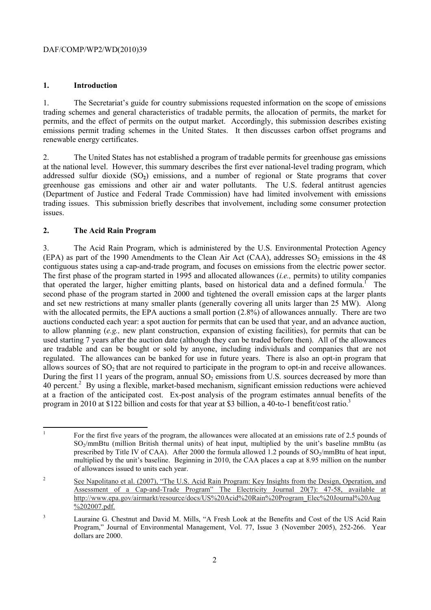### **1. Introduction**

 renewable energy certificates. 1. The Secretariat's guide for country submissions requested information on the scope of emissions trading schemes and general characteristics of tradable permits, the allocation of permits, the market for permits, and the effect of permits on the output market. Accordingly, this submission describes existing emissions permit trading schemes in the United States. It then discusses carbon offset programs and

2. The United States has not established a program of tradable permits for greenhouse gas emissions at the national level. However, this summary describes the first ever national-level trading program, which addressed sulfur dioxide (SO**2**) emissions, and a number of regional or State programs that cover greenhouse gas emissions and other air and water pollutants. The U.S. federal antitrust agencies (Department of Justice and Federal Trade Commission) have had limited involvement with emissions trading issues. This submission briefly describes that involvement, including some consumer protection issues.

### **2. The Acid Rain Program**

(EPA) as part of the 1990 Amendments to the Clean Air Act (CAA), addresses  $SO_2$  emissions in the 48 contiguous states using a cap-and-trade program, and focuses on emissions from the electric power sector. are tradable and can be bought or sold by anyone, including individuals and companies that are not allows sources of  $SO_2$  that are not required to participate in the program to opt-in and receive allowances. 3. The Acid Rain Program, which is administered by the U.S. Environmental Protection Agency The first phase of the program started in 1995 and allocated allowances (*i.e.,* permits) to utility companies that operated the larger, higher emitting plants, based on historical data and a defined formula.<sup>1</sup> The second phase of the program started in 2000 and tightened the overall emission caps at the larger plants and set new restrictions at many smaller plants (generally covering all units larger than 25 MW). Along with the allocated permits, the EPA auctions a small portion (2.8%) of allowances annually. There are two auctions conducted each year: a spot auction for permits that can be used that year, and an advance auction, to allow planning (*e.g.,* new plant construction, expansion of existing facilities), for permits that can be used starting 7 years after the auction date (although they can be traded before then). All of the allowances regulated. The allowances can be banked for use in future years. There is also an opt-in program that During the first 11 years of the program, annual  $SO_2$  emissions from U.S. sources decreased by more than 40 percent.<sup>2</sup> By using a flexible, market-based mechanism, significant emission reductions were achieved at a fraction of the anticipated cost. Ex-post analysis of the program estimates annual benefits of the program in 2010 at \$122 billion and costs for that year at \$3 billion, a 40-to-1 benefit/cost ratio.<sup>3</sup>

 $\overline{a}$  of allowances issued to units each year. 1 For the first five years of the program, the allowances were allocated at an emissions rate of 2.5 pounds of SO<sub>2</sub>/mmBtu (million British thermal units) of heat input, multiplied by the unit's baseline mmBtu (as prescribed by Title IV of CAA). After 2000 the formula allowed 1.2 pounds of SO<sub>2</sub>/mmBtu of heat input, multiplied by the unit's baseline. Beginning in 2010, the CAA places a cap at 8.95 million on the number

<sup>&</sup>lt;sup>2</sup> See Napolitano et al. (2007), "The U.S. Acid Rain Program: Key Insights from the Design, Operation, and Assessment of a Cap-and-Trade Program" The Electricity Journal 20(7): 47-58, available at http://www.epa.gov/airmarkt/resource/docs/US%20Acid%20Rain%20Program\_Elec%20Journal%20Aug %202007.pdf.

<sup>&</sup>lt;sup>3</sup> Lauraine G. Chestnut and David M. Mills, "A Fresh Look at the Benefits and Cost of the US Acid Rain Program," Journal of Environmental Management, Vol. 77, Issue 3 (November 2005), 252-266. Year dollars are 2000.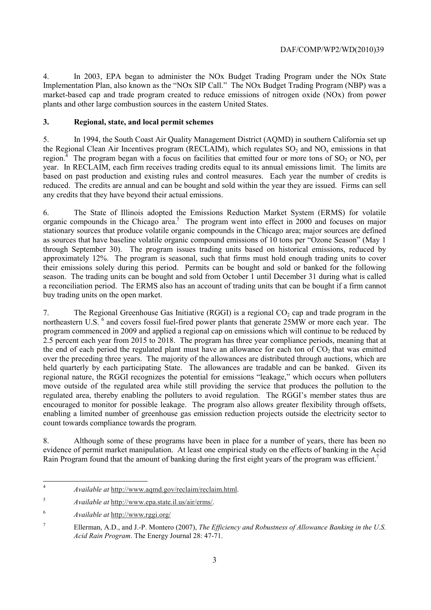4. In 2003, EPA began to administer the NOx Budget Trading Program under the NOx State Implementation Plan, also known as the "NOx SIP Call." The NOx Budget Trading Program (NBP) was a market-based cap and trade program created to reduce emissions of nitrogen oxide (NOx) from power plants and other large combustion sources in the eastern United States.

# **3. Regional, state, and local permit schemes**

 5. In 1994, the South Coast Air Quality Management District (AQMD) in southern California set up the Regional Clean Air Incentives program (RECLAIM), which regulates  $SO<sub>2</sub>$  and  $NO<sub>x</sub>$  emissions in that region.<sup>4</sup> The program began with a focus on facilities that emitted four or more tons of  $SO_2$  or  $NO_x$  per year. In RECLAIM, each firm receives trading credits equal to its annual emissions limit. The limits are based on past production and existing rules and control measures. Each year the number of credits is reduced. The credits are annual and can be bought and sold within the year they are issued. Firms can sell any credits that they have beyond their actual emissions.

organic compounds in the Chicago area.<sup>5</sup> The program went into effect in 2000 and focuses on major a reconciliation period. The ERMS also has an account of trading units that can be bought if a firm cannot 6. The State of Illinois adopted the Emissions Reduction Market System (ERMS) for volatile stationary sources that produce volatile organic compounds in the Chicago area; major sources are defined as sources that have baseline volatile organic compound emissions of 10 tons per "Ozone Season" (May 1 through September 30). The program issues trading units based on historical emissions, reduced by approximately 12%. The program is seasonal, such that firms must hold enough trading units to cover their emissions solely during this period. Permits can be bought and sold or banked for the following season. The trading units can be bought and sold from October 1 until December 31 during what is called buy trading units on the open market.

 regulated area, thereby enabling the polluters to avoid regulation. The RGGI's member states thus are 7. The Regional Greenhouse Gas Initiative (RGGI) is a regional  $CO<sub>2</sub>$  cap and trade program in the northeastern U.S. <sup>6</sup> and covers fossil fuel-fired power plants that generate 25MW or more each year. The program commenced in 2009 and applied a regional cap on emissions which will continue to be reduced by 2.5 percent each year from 2015 to 2018. The program has three year compliance periods, meaning that at the end of each period the regulated plant must have an allowance for each ton of  $CO<sub>2</sub>$  that was emitted over the preceding three years. The majority of the allowances are distributed through auctions, which are held quarterly by each participating State. The allowances are tradable and can be banked. Given its regional nature, the RGGI recognizes the potential for emissions "leakage," which occurs when polluters move outside of the regulated area while still providing the service that produces the pollution to the encouraged to monitor for possible leakage. The program also allows greater flexibility through offsets, enabling a limited number of greenhouse gas emission reduction projects outside the electricity sector to count towards compliance towards the program.

8. Although some of these programs have been in place for a number of years, there has been no evidence of permit market manipulation. At least one empirical study on the effects of banking in the Acid Rain Program found that the amount of banking during the first eight years of the program was efficient.<sup>7</sup>

 <sup>4</sup>*Available at* http://www.aqmd.gov/reclaim/reclaim.html.

<sup>5</sup>*Available at* http://www.epa.state.il.us/air/erms/.

 $\sqrt{6}$ <sup>6</sup>*Available at* http://www.rggi.org/

<sup>7</sup> Ellerman, A.D., and J.-P. Montero (2007), *The Efficiency and Robustness of Allowance Banking in the U.S. Acid Rain Program*. The Energy Journal 28: 47-71.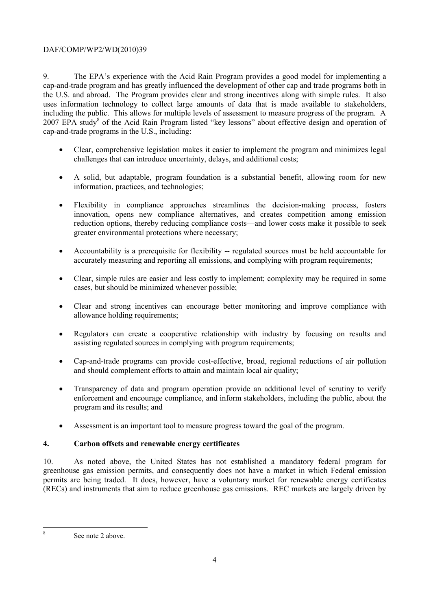9. The EPA's experience with the Acid Rain Program provides a good model for implementing a cap-and-trade program and has greatly influenced the development of other cap and trade programs both in the U.S. and abroad. The Program provides clear and strong incentives along with simple rules. It also uses information technology to collect large amounts of data that is made available to stakeholders, including the public. This allows for multiple levels of assessment to measure progress of the program. A 2007 EPA study<sup>8</sup> of the Acid Rain Program listed "key lessons" about effective design and operation of cap-and-trade programs in the U.S., including:

- Clear, comprehensive legislation makes it easier to implement the program and minimizes legal challenges that can introduce uncertainty, delays, and additional costs;
- A solid, but adaptable, program foundation is a substantial benefit, allowing room for new information, practices, and technologies;
- Flexibility in compliance approaches streamlines the decision-making process, fosters innovation, opens new compliance alternatives, and creates competition among emission reduction options, thereby reducing compliance costs—and lower costs make it possible to seek greater environmental protections where necessary;
- Accountability is a prerequisite for flexibility -- regulated sources must be held accountable for accurately measuring and reporting all emissions, and complying with program requirements;
- Clear, simple rules are easier and less costly to implement; complexity may be required in some cases, but should be minimized whenever possible;
- Clear and strong incentives can encourage better monitoring and improve compliance with allowance holding requirements;
- Regulators can create a cooperative relationship with industry by focusing on results and assisting regulated sources in complying with program requirements;
- Cap-and-trade programs can provide cost-effective, broad, regional reductions of air pollution and should complement efforts to attain and maintain local air quality;
- • Transparency of data and program operation provide an additional level of scrutiny to verify enforcement and encourage compliance, and inform stakeholders, including the public, about the program and its results; and
- Assessment is an important tool to measure progress toward the goal of the program.

# **4. Carbon offsets and renewable energy certificates**

10. As noted above, the United States has not established a mandatory federal program for greenhouse gas emission permits, and consequently does not have a market in which Federal emission permits are being traded. It does, however, have a voluntary market for renewable energy certificates (RECs) and instruments that aim to reduce greenhouse gas emissions. REC markets are largely driven by

8

See note 2 above.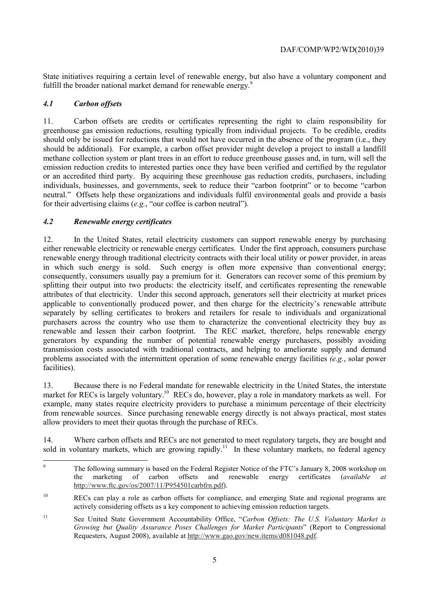State initiatives requiring a certain level of renewable energy, but also have a voluntary component and fulfill the broader national market demand for renewable energy.<sup>9</sup>

## *4.1 Carbon offsets*

 for their advertising claims (*e.g.*, "our coffee is carbon neutral"). 11. Carbon offsets are credits or certificates representing the right to claim responsibility for greenhouse gas emission reductions, resulting typically from individual projects. To be credible, credits should only be issued for reductions that would not have occurred in the absence of the program (i.e., they should be additional). For example, a carbon offset provider might develop a project to install a landfill methane collection system or plant trees in an effort to reduce greenhouse gasses and, in turn, will sell the emission reduction credits to interested parties once they have been verified and certified by the regulator or an accredited third party. By acquiring these greenhouse gas reduction credits, purchasers, including individuals, businesses, and governments, seek to reduce their "carbon footprint" or to become "carbon neutral." Offsets help these organizations and individuals fulfil environmental goals and provide a basis

### *4.2 Renewable energy certificates*

 attributes of that electricity. Under this second approach, generators sell their electricity at market prices 12. In the United States, retail electricity customers can support renewable energy by purchasing either renewable electricity or renewable energy certificates. Under the first approach, consumers purchase renewable energy through traditional electricity contracts with their local utility or power provider, in areas in which such energy is sold. Such energy is often more expensive than conventional energy; consequently, consumers usually pay a premium for it. Generators can recover some of this premium by splitting their output into two products: the electricity itself, and certificates representing the renewable applicable to conventionally produced power, and then charge for the electricity's renewable attribute separately by selling certificates to brokers and retailers for resale to individuals and organizational purchasers across the country who use them to characterize the conventional electricity they buy as renewable and lessen their carbon footprint. The REC market, therefore, helps renewable energy generators by expanding the number of potential renewable energy purchasers, possibly avoiding transmission costs associated with traditional contracts, and helping to ameliorate supply and demand problems associated with the intermittent operation of some renewable energy facilities *(e.g.*, solar power facilities).

 from renewable sources. Since purchasing renewable energy directly is not always practical, most states 13. Because there is no Federal mandate for renewable electricity in the United States, the interstate market for RECs is largely voluntary.<sup>10</sup> RECs do, however, play a role in mandatory markets as well. For example, many states require electricity providers to purchase a minimum percentage of their electricity allow providers to meet their quotas through the purchase of RECs.

14. Where carbon offsets and RECs are not generated to meet regulatory targets, they are bought and sold in voluntary markets, which are growing rapidly.<sup>11</sup> In these voluntary markets, no federal agency

The following summary is based on the Federal Register Notice of the FTC's January 8, 2008 workshop on the marketing of carbon offsets and renewable energy certificates (*available at*  http://www.f<u>tc.gov/os/2007/11/P954501carbfrn.pdf</u>).

<sup>&</sup>lt;sup>10</sup> RECs can play a role as carbon offsets for compliance, and emerging State and regional programs are actively considering offsets as a key component to achieving emission reduction targets.

 $11$ 11 See United State Government Accountability Office, "*Carbon Offsets: The U.S. Voluntary Market is Growing but Quality Assurance Poses Challenges for Market Participants*" (Report to Congressional Requesters, August 2008), available at http://www.gao.gov/new.items/d081048.pdf.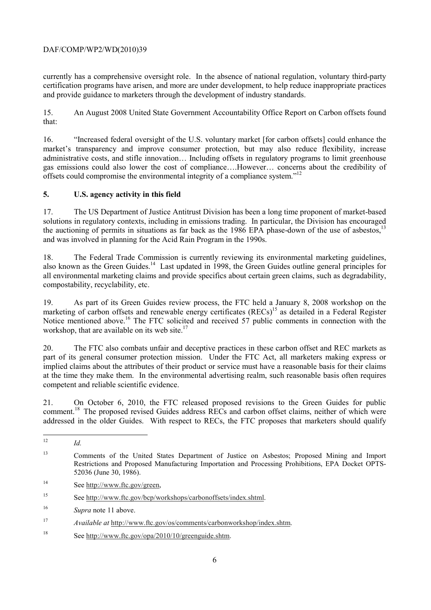currently has a comprehensive oversight role. In the absence of national regulation, voluntary third-party certification programs have arisen, and more are under development, to help reduce inappropriate practices and provide guidance to marketers through the development of industry standards.

15. An August 2008 United State Government Accountability Office Report on Carbon offsets found that:

16. "Increased federal oversight of the U.S. voluntary market [for carbon offsets] could enhance the market's transparency and improve consumer protection, but may also reduce flexibility, increase administrative costs, and stifle innovation… Including offsets in regulatory programs to limit greenhouse gas emissions could also lower the cost of compliance….However… concerns about the credibility of offsets could compromise the environmental integrity of a compliance system."<sup>12</sup>

# **5. U.S. agency activity in this field**

17. The US Department of Justice Antitrust Division has been a long time proponent of market-based solutions in regulatory contexts, including in emissions trading. In particular, the Division has encouraged the auctioning of permits in situations as far back as the 1986 EPA phase-down of the use of asbestos.<sup>1</sup> and was involved in planning for the Acid Rain Program in the 1990s.

18. The Federal Trade Commission is currently reviewing its environmental marketing guidelines, also known as the Green Guides.14 Last updated in 1998, the Green Guides outline general principles for all environmental marketing claims and provide specifics about certain green claims, such as degradability, compostability, recyclability, etc.

workshop, that are available on its web site. $17$ 19. As part of its Green Guides review process, the FTC held a January 8, 2008 workshop on the marketing of carbon offsets and renewable energy certificates (RECs)<sup>15</sup> as detailed in a Federal Register Notice mentioned above.<sup>16</sup> The FTC solicited and received 57 public comments in connection with the

 competent and reliable scientific evidence. 20. The FTC also combats unfair and deceptive practices in these carbon offset and REC markets as part of its general consumer protection mission. Under the FTC Act, all marketers making express or implied claims about the attributes of their product or service must have a reasonable basis for their claims at the time they make them. In the environmental advertising realm, such reasonable basis often requires

 addressed in the older Guides. With respect to RECs, the FTC proposes that marketers should qualify 21. On October 6, 2010, the FTC released proposed revisions to the Green Guides for public comment.<sup>18</sup> The proposed revised Guides address RECs and carbon offset claims, neither of which were

15 See http://www.ftc.gov/bcp/workshops/carbonoffsets/index.shtml.

18 See http://www.ftc.gov/opa/2010/10/greenguide.shtm.

 $\overline{a}$  $Id$ .

<sup>&</sup>lt;sup>13</sup> Comments of the United States Department of Justice on Asbestos; Proposed Mining and Import Restrictions and Proposed Manufacturing Importation and Processing Prohibitions, EPA Docket OPTS-52036 (June 30, 1986).

<sup>14</sup> See http://www.ftc.gov/green,

<sup>16</sup>*Supra* note 11 above.

<sup>17</sup> <sup>17</sup>*Available at* http://www.ftc.gov/os/comments/carbonworkshop/index.shtm.